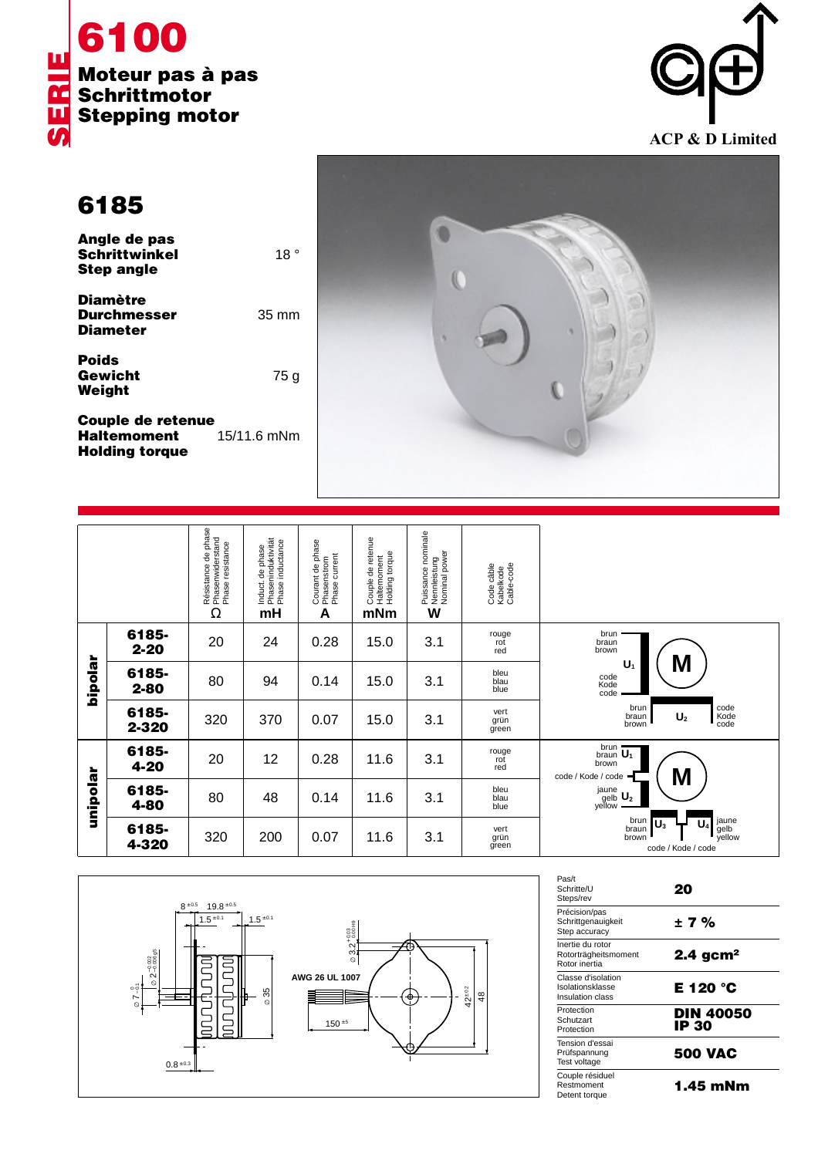



**6185**

| Angle de pas<br><b>Schrittwinkel</b><br><b>Step angle</b> | 18 °            |
|-----------------------------------------------------------|-----------------|
| <b>Diamètre</b><br><b>Durchmesser</b><br><b>Diameter</b>  | $35 \text{ mm}$ |
| <b>Poids</b><br>Gewicht<br>Weight                         | 75 g            |

**Couple de retenue<br>Haltemoment** 15/11.6 mNm **Haltemoment Holding torque**



|          |                   | Résistance de phase<br>Phasenwiderstand<br>Phase resistance<br>Ω | Phaseninduktivität<br>Phase inductance<br>Induct. de phase<br>mH | Courant de phase<br>Phasenstrom<br>Phase current<br>A | Couple de retenue<br>Haltemoment<br>Holding torque<br>mNm | , Puissance nominale<br>, Nennleistung<br>, Nominal power<br>W | Code câble<br>Kabelkode<br>Cable-code |                                                                                           |
|----------|-------------------|------------------------------------------------------------------|------------------------------------------------------------------|-------------------------------------------------------|-----------------------------------------------------------|----------------------------------------------------------------|---------------------------------------|-------------------------------------------------------------------------------------------|
| hipolar  | 6185-<br>$2 - 20$ | 20                                                               | 24                                                               | 0.28                                                  | 15.0                                                      | 3.1                                                            | rouge<br>rot<br>red                   | brun<br>braun<br>brown                                                                    |
|          | 6185-<br>$2 - 80$ | 80                                                               | 94                                                               | 0.14                                                  | 15.0                                                      | 3.1                                                            | bleu<br>blau<br>blue                  | M<br>U <sub>1</sub><br>code<br>Kode<br>code                                               |
|          | 6185-<br>2-320    | 320                                                              | 370                                                              | 0.07                                                  | 15.0                                                      | 3.1                                                            | vert<br>grün<br>green                 | code<br>Kode<br>code<br>brun<br>$\mathsf{U}_2$<br>braun<br>brown                          |
| unipolar | 6185-<br>4-20     | 20                                                               | 12                                                               | 0.28                                                  | 11.6                                                      | 3.1                                                            | rouge<br>rot<br>red                   | brun<br>$rac{1}{2}$ braun $\overline{U_1}$<br>brown<br>M<br>code / Kode / code            |
|          | 6185-<br>4-80     | 80                                                               | 48                                                               | 0.14                                                  | 11.6                                                      | 3.1                                                            | bleu<br>blau<br>blue                  | $\overset{jaune}{\underset{yellow}{\text{gelb}}}\ \underbrace{\text{U}_2}$                |
|          | 6185-<br>4-320    | 320                                                              | 200                                                              | 0.07                                                  | 11.6                                                      | 3.1                                                            | vert<br>grün<br>green                 | jaune<br>gelb<br>yellow<br>brun<br>$\mathsf{U}_3$<br>braun<br>brown<br>code / Kode / code |



| Pas/t<br>Schritte/U<br>Steps/rev                           | 20                        |
|------------------------------------------------------------|---------------------------|
| Précision/pas<br>Schrittgenauigkeit<br>Step accuracy       | ±7%                       |
| Inertie du rotor<br>Rotorträgheitsmoment<br>Rotor inertia  | $2.4$ gcm <sup>2</sup>    |
| Classe d'isolation<br>Isolationsklasse<br>Insulation class | E 120 °C                  |
| Protection<br>Schutzart<br>Protection                      | <b>DIN 40050</b><br>IP 30 |
| Tension d'essai<br>Prüfspannung<br>Test voltage            | <b>500 VAC</b>            |
| Couple résiduel<br>Restmoment<br>Detent torque             | 1.45 mNm                  |